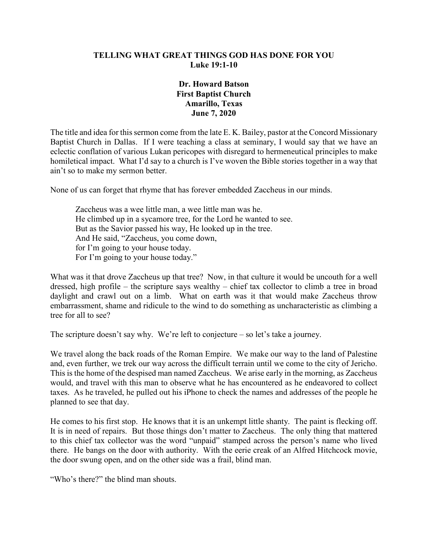## **TELLING WHAT GREAT THINGS GOD HAS DONE FOR YOU Luke 19:1-10**

## **Dr. Howard Batson First Baptist Church Amarillo, Texas June 7, 2020**

The title and idea for this sermon come from the late E. K. Bailey, pastor at the Concord Missionary Baptist Church in Dallas. If I were teaching a class at seminary, I would say that we have an eclectic conflation of various Lukan pericopes with disregard to hermeneutical principles to make homiletical impact. What I'd say to a church is I've woven the Bible stories together in a way that ain't so to make my sermon better.

None of us can forget that rhyme that has forever embedded Zaccheus in our minds.

Zaccheus was a wee little man, a wee little man was he. He climbed up in a sycamore tree, for the Lord he wanted to see. But as the Savior passed his way, He looked up in the tree. And He said, "Zaccheus, you come down, for I'm going to your house today. For I'm going to your house today."

What was it that drove Zaccheus up that tree? Now, in that culture it would be uncouth for a well dressed, high profile – the scripture says wealthy – chief tax collector to climb a tree in broad daylight and crawl out on a limb. What on earth was it that would make Zaccheus throw embarrassment, shame and ridicule to the wind to do something as uncharacteristic as climbing a tree for all to see?

The scripture doesn't say why. We're left to conjecture – so let's take a journey.

We travel along the back roads of the Roman Empire. We make our way to the land of Palestine and, even further, we trek our way across the difficult terrain until we come to the city of Jericho. This is the home of the despised man named Zaccheus. We arise early in the morning, as Zaccheus would, and travel with this man to observe what he has encountered as he endeavored to collect taxes. As he traveled, he pulled out his iPhone to check the names and addresses of the people he planned to see that day.

He comes to his first stop. He knows that it is an unkempt little shanty. The paint is flecking off. It is in need of repairs. But those things don't matter to Zaccheus. The only thing that mattered to this chief tax collector was the word "unpaid" stamped across the person's name who lived there. He bangs on the door with authority. With the eerie creak of an Alfred Hitchcock movie, the door swung open, and on the other side was a frail, blind man.

"Who's there?" the blind man shouts.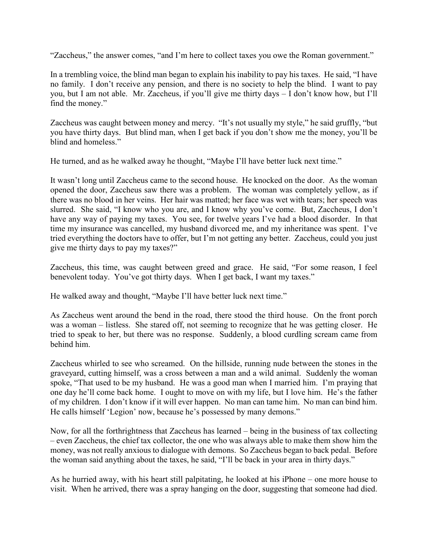"Zaccheus," the answer comes, "and I'm here to collect taxes you owe the Roman government."

In a trembling voice, the blind man began to explain his inability to pay his taxes. He said, "I have no family. I don't receive any pension, and there is no society to help the blind. I want to pay you, but I am not able. Mr. Zaccheus, if you'll give me thirty days – I don't know how, but I'll find the money."

Zaccheus was caught between money and mercy. "It's not usually my style," he said gruffly, "but you have thirty days. But blind man, when I get back if you don't show me the money, you'll be blind and homeless."

He turned, and as he walked away he thought, "Maybe I'll have better luck next time."

It wasn't long until Zaccheus came to the second house. He knocked on the door. As the woman opened the door, Zaccheus saw there was a problem. The woman was completely yellow, as if there was no blood in her veins. Her hair was matted; her face was wet with tears; her speech was slurred. She said, "I know who you are, and I know why you've come. But, Zaccheus, I don't have any way of paying my taxes. You see, for twelve years I've had a blood disorder. In that time my insurance was cancelled, my husband divorced me, and my inheritance was spent. I've tried everything the doctors have to offer, but I'm not getting any better. Zaccheus, could you just give me thirty days to pay my taxes?"

Zaccheus, this time, was caught between greed and grace. He said, "For some reason, I feel benevolent today. You've got thirty days. When I get back, I want my taxes."

He walked away and thought, "Maybe I'll have better luck next time."

As Zaccheus went around the bend in the road, there stood the third house. On the front porch was a woman – listless. She stared off, not seeming to recognize that he was getting closer. He tried to speak to her, but there was no response. Suddenly, a blood curdling scream came from behind him.

Zaccheus whirled to see who screamed. On the hillside, running nude between the stones in the graveyard, cutting himself, was a cross between a man and a wild animal. Suddenly the woman spoke, "That used to be my husband. He was a good man when I married him. I'm praying that one day he'll come back home. I ought to move on with my life, but I love him. He's the father of my children. I don't know if it will ever happen. No man can tame him. No man can bind him. He calls himself 'Legion' now, because he's possessed by many demons."

Now, for all the forthrightness that Zaccheus has learned – being in the business of tax collecting – even Zaccheus, the chief tax collector, the one who was always able to make them show him the money, was not really anxious to dialogue with demons. So Zaccheus began to back pedal. Before the woman said anything about the taxes, he said, "I'll be back in your area in thirty days."

As he hurried away, with his heart still palpitating, he looked at his iPhone – one more house to visit. When he arrived, there was a spray hanging on the door, suggesting that someone had died.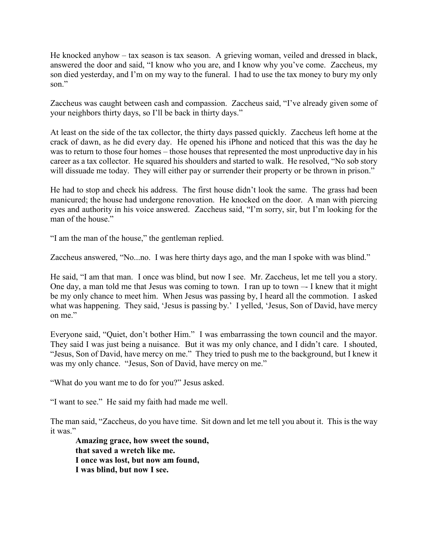He knocked anyhow – tax season is tax season. A grieving woman, veiled and dressed in black, answered the door and said, "I know who you are, and I know why you've come. Zaccheus, my son died yesterday, and I'm on my way to the funeral. I had to use the tax money to bury my only son."

Zaccheus was caught between cash and compassion. Zaccheus said, "I've already given some of your neighbors thirty days, so I'll be back in thirty days."

At least on the side of the tax collector, the thirty days passed quickly. Zaccheus left home at the crack of dawn, as he did every day. He opened his iPhone and noticed that this was the day he was to return to those four homes – those houses that represented the most unproductive day in his career as a tax collector. He squared his shoulders and started to walk. He resolved, "No sob story will dissuade me today. They will either pay or surrender their property or be thrown in prison."

He had to stop and check his address. The first house didn't look the same. The grass had been manicured; the house had undergone renovation. He knocked on the door. A man with piercing eyes and authority in his voice answered. Zaccheus said, "I'm sorry, sir, but I'm looking for the man of the house."

"I am the man of the house," the gentleman replied.

Zaccheus answered, "No...no. I was here thirty days ago, and the man I spoke with was blind."

He said, "I am that man. I once was blind, but now I see. Mr. Zaccheus, let me tell you a story. One day, a man told me that Jesus was coming to town. I ran up to town – I knew that it might be my only chance to meet him. When Jesus was passing by, I heard all the commotion. I asked what was happening. They said, 'Jesus is passing by.' I yelled, 'Jesus, Son of David, have mercy on me."

Everyone said, "Quiet, don't bother Him." I was embarrassing the town council and the mayor. They said I was just being a nuisance. But it was my only chance, and I didn't care. I shouted, "Jesus, Son of David, have mercy on me." They tried to push me to the background, but I knew it was my only chance. "Jesus, Son of David, have mercy on me."

"What do you want me to do for you?" Jesus asked.

"I want to see." He said my faith had made me well.

The man said, "Zaccheus, do you have time. Sit down and let me tell you about it. This is the way it was."

**Amazing grace, how sweet the sound, that saved a wretch like me. I once was lost, but now am found, I was blind, but now I see.**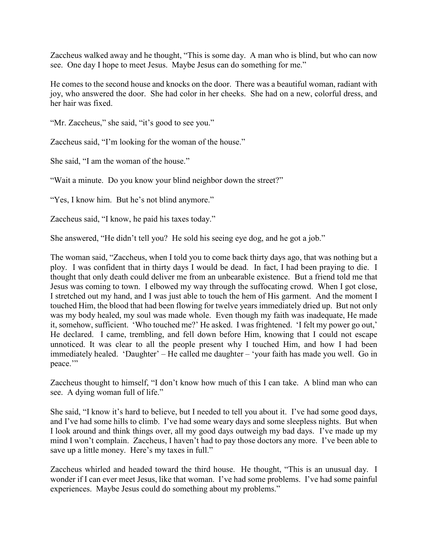Zaccheus walked away and he thought, "This is some day. A man who is blind, but who can now see. One day I hope to meet Jesus. Maybe Jesus can do something for me."

He comes to the second house and knocks on the door. There was a beautiful woman, radiant with joy, who answered the door. She had color in her cheeks. She had on a new, colorful dress, and her hair was fixed.

"Mr. Zaccheus," she said, "it's good to see you."

Zaccheus said, "I'm looking for the woman of the house."

She said, "I am the woman of the house."

"Wait a minute. Do you know your blind neighbor down the street?"

"Yes, I know him. But he's not blind anymore."

Zaccheus said, "I know, he paid his taxes today."

She answered, "He didn't tell you? He sold his seeing eye dog, and he got a job."

The woman said, "Zaccheus, when I told you to come back thirty days ago, that was nothing but a ploy. I was confident that in thirty days I would be dead. In fact, I had been praying to die. I thought that only death could deliver me from an unbearable existence. But a friend told me that Jesus was coming to town. I elbowed my way through the suffocating crowd. When I got close, I stretched out my hand, and I was just able to touch the hem of His garment. And the moment I touched Him, the blood that had been flowing for twelve years immediately dried up. But not only was my body healed, my soul was made whole. Even though my faith was inadequate, He made it, somehow, sufficient. 'Who touched me?' He asked. I was frightened. 'I felt my power go out,' He declared. I came, trembling, and fell down before Him, knowing that I could not escape unnoticed. It was clear to all the people present why I touched Him, and how I had been immediately healed. 'Daughter' – He called me daughter – 'your faith has made you well. Go in peace."

Zaccheus thought to himself, "I don't know how much of this I can take. A blind man who can see. A dying woman full of life."

She said, "I know it's hard to believe, but I needed to tell you about it. I've had some good days, and I've had some hills to climb. I've had some weary days and some sleepless nights. But when I look around and think things over, all my good days outweigh my bad days. I've made up my mind I won't complain. Zaccheus, I haven't had to pay those doctors any more. I've been able to save up a little money. Here's my taxes in full."

Zaccheus whirled and headed toward the third house. He thought, "This is an unusual day. I wonder if I can ever meet Jesus, like that woman. I've had some problems. I've had some painful experiences. Maybe Jesus could do something about my problems."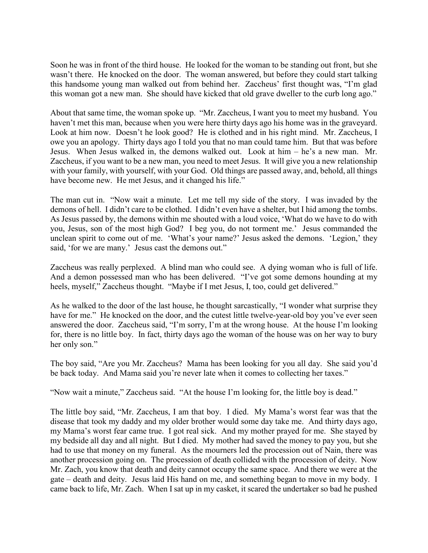Soon he was in front of the third house. He looked for the woman to be standing out front, but she wasn't there. He knocked on the door. The woman answered, but before they could start talking this handsome young man walked out from behind her. Zaccheus' first thought was, "I'm glad this woman got a new man. She should have kicked that old grave dweller to the curb long ago."

About that same time, the woman spoke up. "Mr. Zaccheus, I want you to meet my husband. You haven't met this man, because when you were here thirty days ago his home was in the graveyard. Look at him now. Doesn't he look good? He is clothed and in his right mind. Mr. Zaccheus, I owe you an apology. Thirty days ago I told you that no man could tame him. But that was before Jesus. When Jesus walked in, the demons walked out. Look at him – he's a new man. Mr. Zaccheus, if you want to be a new man, you need to meet Jesus. It will give you a new relationship with your family, with yourself, with your God. Old things are passed away, and, behold, all things have become new. He met Jesus, and it changed his life."

The man cut in. "Now wait a minute. Let me tell my side of the story. I was invaded by the demons of hell. I didn't care to be clothed. I didn't even have a shelter, but I hid among the tombs. As Jesus passed by, the demons within me shouted with a loud voice, 'What do we have to do with you, Jesus, son of the most high God? I beg you, do not torment me.' Jesus commanded the unclean spirit to come out of me. 'What's your name?' Jesus asked the demons. 'Legion,' they said, 'for we are many.' Jesus cast the demons out."

Zaccheus was really perplexed. A blind man who could see. A dying woman who is full of life. And a demon possessed man who has been delivered. "I've got some demons hounding at my heels, myself," Zaccheus thought. "Maybe if I met Jesus, I, too, could get delivered."

As he walked to the door of the last house, he thought sarcastically, "I wonder what surprise they have for me." He knocked on the door, and the cutest little twelve-year-old boy you've ever seen answered the door. Zaccheus said, "I'm sorry, I'm at the wrong house. At the house I'm looking for, there is no little boy. In fact, thirty days ago the woman of the house was on her way to bury her only son."

The boy said, "Are you Mr. Zaccheus? Mama has been looking for you all day. She said you'd be back today. And Mama said you're never late when it comes to collecting her taxes."

"Now wait a minute," Zaccheus said. "At the house I'm looking for, the little boy is dead."

The little boy said, "Mr. Zaccheus, I am that boy. I died. My Mama's worst fear was that the disease that took my daddy and my older brother would some day take me. And thirty days ago, my Mama's worst fear came true. I got real sick. And my mother prayed for me. She stayed by my bedside all day and all night. But I died. My mother had saved the money to pay you, but she had to use that money on my funeral. As the mourners led the procession out of Nain, there was another procession going on. The procession of death collided with the procession of deity. Now Mr. Zach, you know that death and deity cannot occupy the same space. And there we were at the gate – death and deity. Jesus laid His hand on me, and something began to move in my body. I came back to life, Mr. Zach. When I sat up in my casket, it scared the undertaker so bad he pushed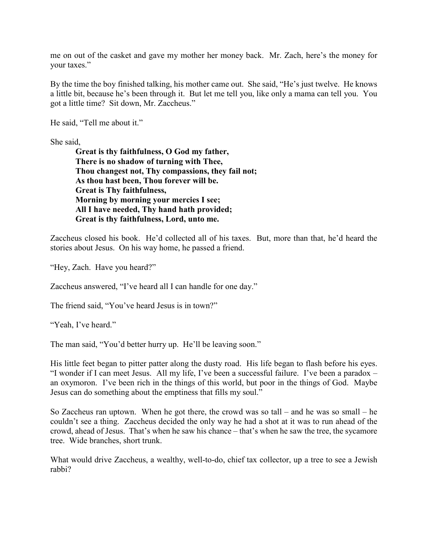me on out of the casket and gave my mother her money back. Mr. Zach, here's the money for your taxes."

By the time the boy finished talking, his mother came out. She said, "He's just twelve. He knows a little bit, because he's been through it. But let me tell you, like only a mama can tell you. You got a little time? Sit down, Mr. Zaccheus."

He said, "Tell me about it."

She said,

**Great is thy faithfulness, O God my father, There is no shadow of turning with Thee, Thou changest not, Thy compassions, they fail not; As thou hast been, Thou forever will be. Great is Thy faithfulness, Morning by morning your mercies I see; All I have needed, Thy hand hath provided; Great is thy faithfulness, Lord, unto me.**

Zaccheus closed his book. He'd collected all of his taxes. But, more than that, he'd heard the stories about Jesus. On his way home, he passed a friend.

"Hey, Zach. Have you heard?"

Zaccheus answered, "I've heard all I can handle for one day."

The friend said, "You've heard Jesus is in town?"

"Yeah, I've heard."

The man said, "You'd better hurry up. He'll be leaving soon."

His little feet began to pitter patter along the dusty road. His life began to flash before his eyes. "I wonder if I can meet Jesus. All my life, I've been a successful failure. I've been a paradox – an oxymoron. I've been rich in the things of this world, but poor in the things of God. Maybe Jesus can do something about the emptiness that fills my soul."

So Zaccheus ran uptown. When he got there, the crowd was so tall – and he was so small – he couldn't see a thing. Zaccheus decided the only way he had a shot at it was to run ahead of the crowd, ahead of Jesus. That's when he saw his chance – that's when he saw the tree, the sycamore tree. Wide branches, short trunk.

What would drive Zaccheus, a wealthy, well-to-do, chief tax collector, up a tree to see a Jewish rabbi?